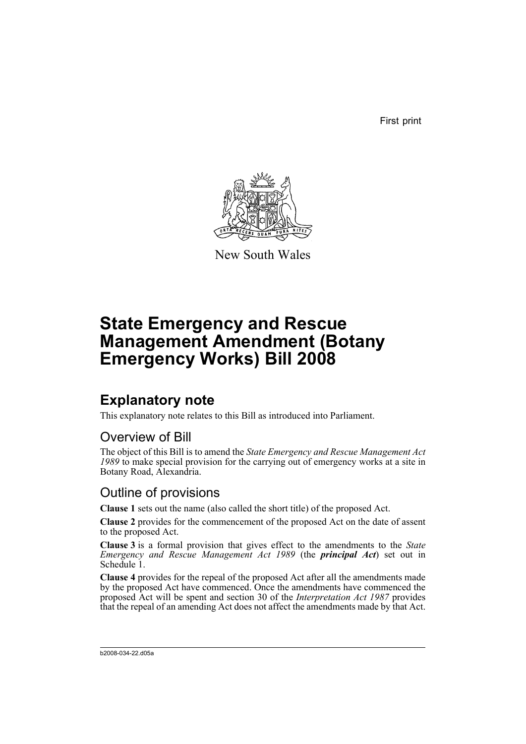First print



New South Wales

# **State Emergency and Rescue Management Amendment (Botany Emergency Works) Bill 2008**

## **Explanatory note**

This explanatory note relates to this Bill as introduced into Parliament.

## Overview of Bill

The object of this Bill is to amend the *State Emergency and Rescue Management Act 1989* to make special provision for the carrying out of emergency works at a site in Botany Road, Alexandria.

## Outline of provisions

**Clause 1** sets out the name (also called the short title) of the proposed Act.

**Clause 2** provides for the commencement of the proposed Act on the date of assent to the proposed Act.

**Clause 3** is a formal provision that gives effect to the amendments to the *State Emergency and Rescue Management Act 1989* (the *principal Act*) set out in Schedule 1.

**Clause 4** provides for the repeal of the proposed Act after all the amendments made by the proposed Act have commenced. Once the amendments have commenced the proposed Act will be spent and section 30 of the *Interpretation Act 1987* provides that the repeal of an amending Act does not affect the amendments made by that Act.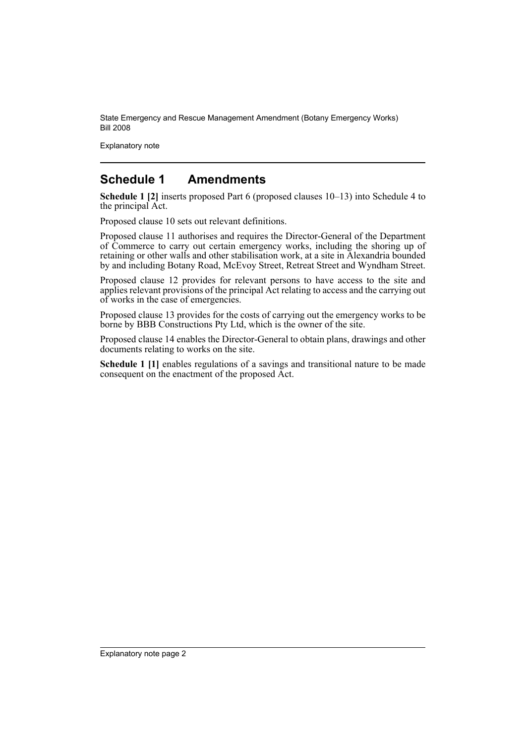Explanatory note

### **Schedule 1 Amendments**

**Schedule 1 [2]** inserts proposed Part 6 (proposed clauses  $10-13$ ) into Schedule 4 to the principal Act.

Proposed clause 10 sets out relevant definitions.

Proposed clause 11 authorises and requires the Director-General of the Department of Commerce to carry out certain emergency works, including the shoring up of retaining or other walls and other stabilisation work, at a site in Alexandria bounded by and including Botany Road, McEvoy Street, Retreat Street and Wyndham Street.

Proposed clause 12 provides for relevant persons to have access to the site and applies relevant provisions of the principal Act relating to access and the carrying out of works in the case of emergencies.

Proposed clause 13 provides for the costs of carrying out the emergency works to be borne by BBB Constructions Pty Ltd, which is the owner of the site.

Proposed clause 14 enables the Director-General to obtain plans, drawings and other documents relating to works on the site.

**Schedule 1 [1]** enables regulations of a savings and transitional nature to be made consequent on the enactment of the proposed Act.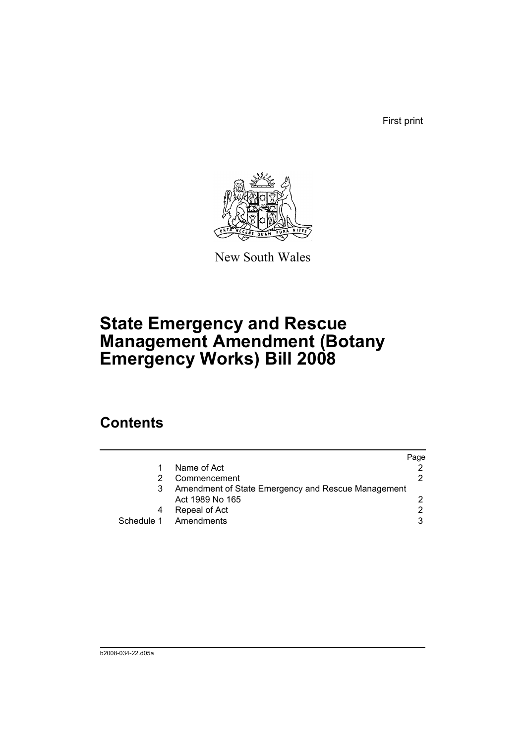First print



New South Wales

# **State Emergency and Rescue Management Amendment (Botany Emergency Works) Bill 2008**

## **Contents**

|                                                    | Page |
|----------------------------------------------------|------|
| Name of Act                                        |      |
| Commencement                                       |      |
| Amendment of State Emergency and Rescue Management |      |
| Act 1989 No 165                                    |      |
| Repeal of Act                                      | 2    |
| Schedule 1 Amendments                              | 3    |
|                                                    |      |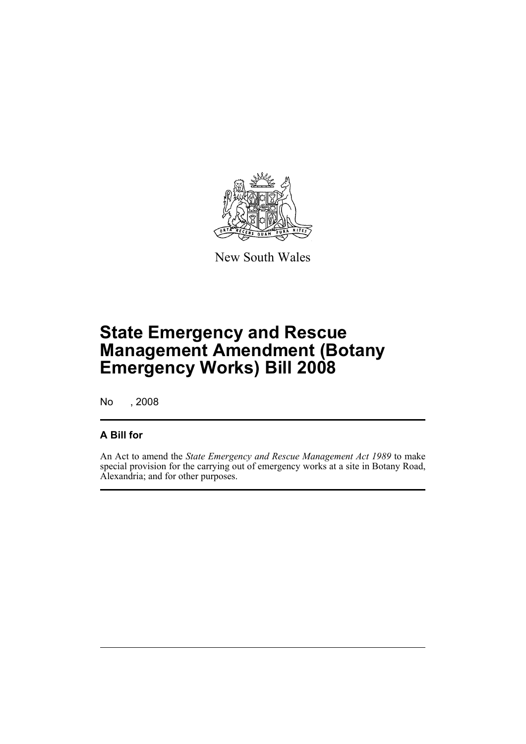

New South Wales

# **State Emergency and Rescue Management Amendment (Botany Emergency Works) Bill 2008**

No , 2008

### **A Bill for**

An Act to amend the *State Emergency and Rescue Management Act 1989* to make special provision for the carrying out of emergency works at a site in Botany Road, Alexandria; and for other purposes.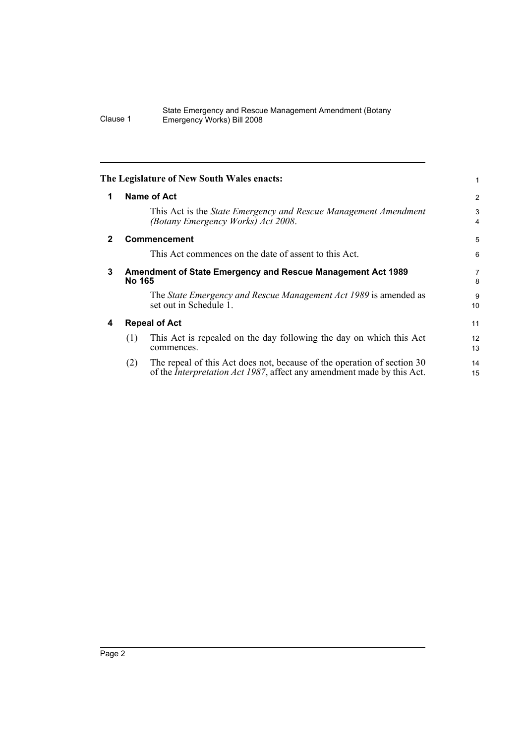<span id="page-5-3"></span><span id="page-5-2"></span><span id="page-5-1"></span><span id="page-5-0"></span>

|              | The Legislature of New South Wales enacts:                                                                                                                       |                |
|--------------|------------------------------------------------------------------------------------------------------------------------------------------------------------------|----------------|
| 1            | Name of Act                                                                                                                                                      | $\overline{c}$ |
|              | This Act is the <i>State Emergency and Rescue Management Amendment</i><br>(Botany Emergency Works) Act 2008.                                                     | 3<br>4         |
| $\mathbf{2}$ | <b>Commencement</b>                                                                                                                                              | 5              |
|              | This Act commences on the date of assent to this Act.                                                                                                            | 6              |
| 3            | <b>Amendment of State Emergency and Rescue Management Act 1989</b><br>No 165                                                                                     |                |
|              | The State Emergency and Rescue Management Act 1989 is amended as<br>set out in Schedule 1.                                                                       | 9<br>10        |
| 4            | <b>Repeal of Act</b>                                                                                                                                             |                |
|              | This Act is repealed on the day following the day on which this Act<br>(1)<br>commences.                                                                         | 12<br>13       |
|              | The repeal of this Act does not, because of the operation of section 30<br>(2)<br>of the <i>Interpretation Act 1987</i> , affect any amendment made by this Act. | 14<br>15       |
|              |                                                                                                                                                                  |                |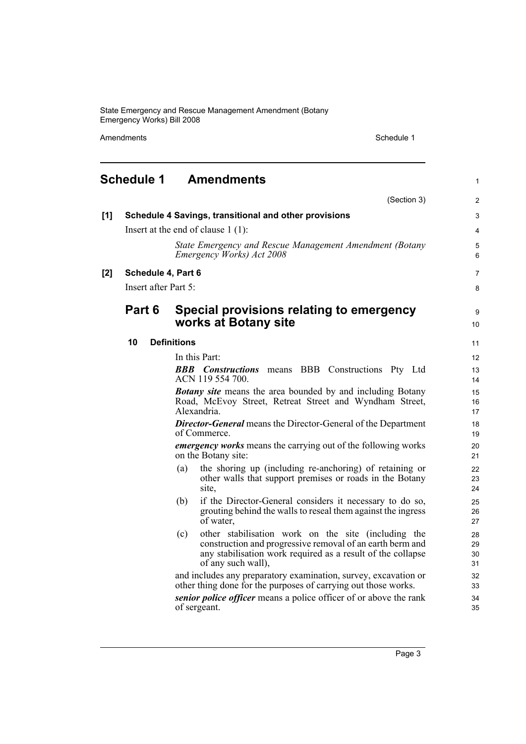Amendments Schedule 1

<span id="page-6-0"></span>

|     | <b>Schedule 1</b>    | <b>Amendments</b>                                                                                                                                                                                            | $\mathbf{1}$         |
|-----|----------------------|--------------------------------------------------------------------------------------------------------------------------------------------------------------------------------------------------------------|----------------------|
|     |                      | (Section 3)                                                                                                                                                                                                  | 2                    |
| [1] |                      | Schedule 4 Savings, transitional and other provisions                                                                                                                                                        | 3                    |
|     |                      | Insert at the end of clause $1(1)$ :                                                                                                                                                                         | 4                    |
|     |                      | State Emergency and Rescue Management Amendment (Botany<br>Emergency Works) Act 2008                                                                                                                         | 5<br>6               |
| [2] | Schedule 4, Part 6   |                                                                                                                                                                                                              | $\overline{7}$       |
|     | Insert after Part 5: |                                                                                                                                                                                                              | 8                    |
|     | Part 6               | Special provisions relating to emergency<br>works at Botany site                                                                                                                                             | 9<br>10              |
|     | 10                   | <b>Definitions</b>                                                                                                                                                                                           | 11                   |
|     |                      | In this Part:                                                                                                                                                                                                | 12                   |
|     |                      | <b>BBB</b> Constructions means BBB Constructions Pty Ltd<br>ACN 119 554 700.                                                                                                                                 | 13<br>14             |
|     |                      | <b>Botany site</b> means the area bounded by and including Botany<br>Road, McEvoy Street, Retreat Street and Wyndham Street,<br>Alexandria.                                                                  | 15<br>16<br>17       |
|     |                      | <b>Director-General</b> means the Director-General of the Department<br>of Commerce.                                                                                                                         | 18<br>19             |
|     |                      | <i>emergency works</i> means the carrying out of the following works<br>on the Botany site:                                                                                                                  | 20<br>21             |
|     |                      | the shoring up (including re-anchoring) of retaining or<br>(a)<br>other walls that support premises or roads in the Botany<br>site,                                                                          | 22<br>23<br>24       |
|     |                      | if the Director-General considers it necessary to do so,<br>(b)<br>grouting behind the walls to reseal them against the ingress<br>of water,                                                                 | 25<br>26<br>27       |
|     |                      | other stabilisation work on the site (including the<br>(c)<br>construction and progressive removal of an earth berm and<br>any stabilisation work required as a result of the collapse<br>of any such wall), | 28<br>29<br>30<br>31 |
|     |                      | and includes any preparatory examination, survey, excavation or<br>other thing done for the purposes of carrying out those works.                                                                            | 32<br>33             |
|     |                      | senior police officer means a police officer of or above the rank<br>of sergeant.                                                                                                                            | 34<br>35             |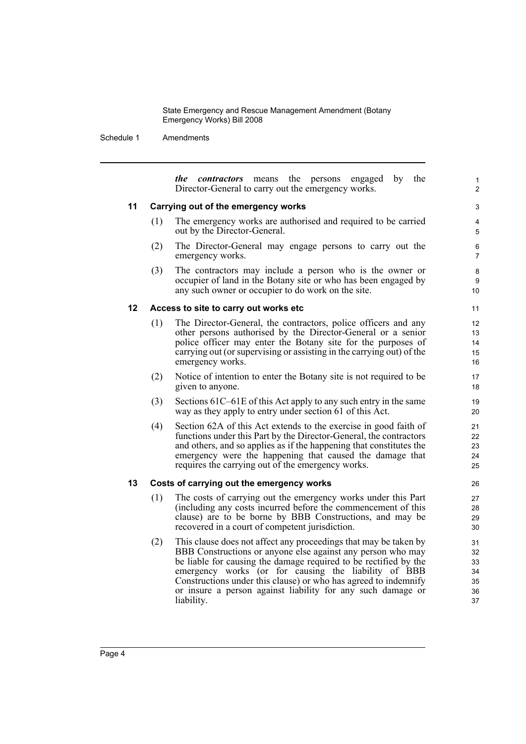Schedule 1 Amendments

*the contractors* means the persons engaged by the Director-General to carry out the emergency works.

1  $\overline{2}$ 

### **11 Carrying out of the emergency works**

- (1) The emergency works are authorised and required to be carried out by the Director-General.
- (2) The Director-General may engage persons to carry out the emergency works.
- (3) The contractors may include a person who is the owner or occupier of land in the Botany site or who has been engaged by any such owner or occupier to do work on the site.

### **12 Access to site to carry out works etc**

- (1) The Director-General, the contractors, police officers and any other persons authorised by the Director-General or a senior police officer may enter the Botany site for the purposes of carrying out (or supervising or assisting in the carrying out) of the emergency works.
- (2) Notice of intention to enter the Botany site is not required to be given to anyone.
- (3) Sections 61C–61E of this Act apply to any such entry in the same way as they apply to entry under section 61 of this Act.
- (4) Section 62A of this Act extends to the exercise in good faith of functions under this Part by the Director-General, the contractors and others, and so applies as if the happening that constitutes the emergency were the happening that caused the damage that requires the carrying out of the emergency works.

#### **13 Costs of carrying out the emergency works**

- (1) The costs of carrying out the emergency works under this Part (including any costs incurred before the commencement of this clause) are to be borne by BBB Constructions, and may be recovered in a court of competent jurisdiction.
- (2) This clause does not affect any proceedings that may be taken by BBB Constructions or anyone else against any person who may be liable for causing the damage required to be rectified by the emergency works (or for causing the liability of BBB Constructions under this clause) or who has agreed to indemnify or insure a person against liability for any such damage or liability.